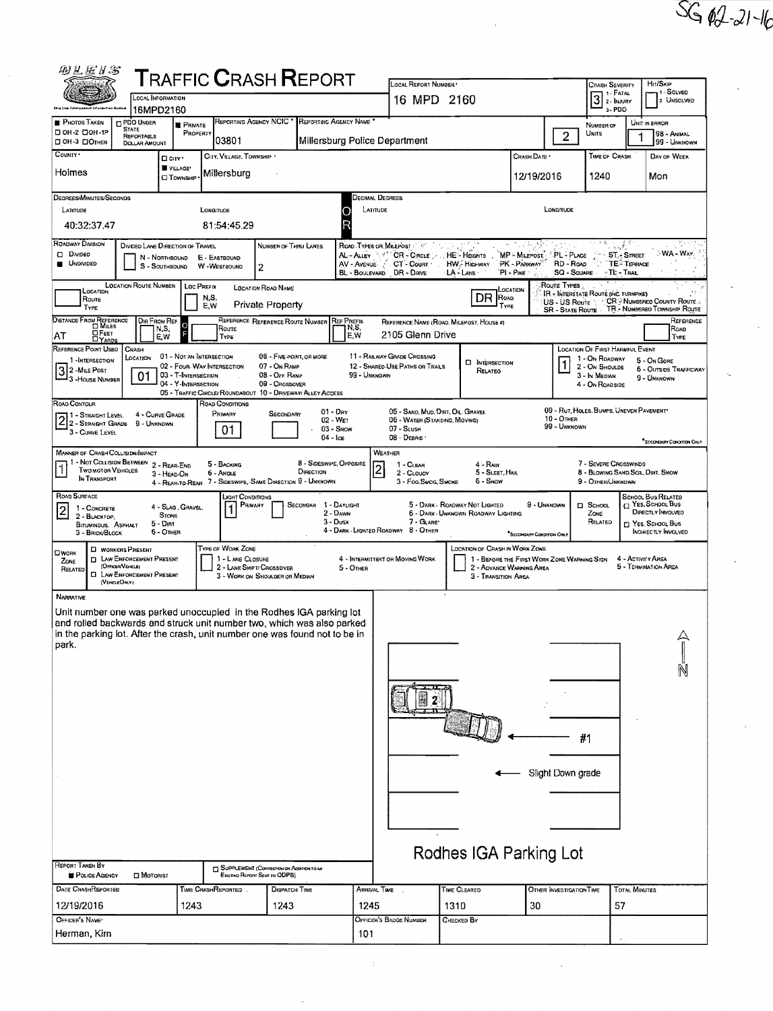| 的名词牙名                                                                                                                                                                                                                                                                                                                                                                                                                                                                                                                                                                                                                                                                                                    |                                               |                                                                        |                                                                                |                                                                             |                       |                                         |                                                                                                                                                                                                                                                                                                                                         |                                    |              |                          |                                                                                                         |                            | HIT/SKIP                                                             |  |  |
|----------------------------------------------------------------------------------------------------------------------------------------------------------------------------------------------------------------------------------------------------------------------------------------------------------------------------------------------------------------------------------------------------------------------------------------------------------------------------------------------------------------------------------------------------------------------------------------------------------------------------------------------------------------------------------------------------------|-----------------------------------------------|------------------------------------------------------------------------|--------------------------------------------------------------------------------|-----------------------------------------------------------------------------|-----------------------|-----------------------------------------|-----------------------------------------------------------------------------------------------------------------------------------------------------------------------------------------------------------------------------------------------------------------------------------------------------------------------------------------|------------------------------------|--------------|--------------------------|---------------------------------------------------------------------------------------------------------|----------------------------|----------------------------------------------------------------------|--|--|
|                                                                                                                                                                                                                                                                                                                                                                                                                                                                                                                                                                                                                                                                                                          |                                               | ${\sf T}$ RAFFIC ${\sf C}$ RASH ${\sf R}$ EPORT<br>OCAL INFORMATION    |                                                                                |                                                                             |                       |                                         |                                                                                                                                                                                                                                                                                                                                         | LOCAL REPORT NUMBER<br>16 MPD 2160 |              |                          |                                                                                                         |                            | <b>CRASH SEVERITY</b><br>1. SOLVED<br>$3$ : FATAL $3$<br>2. UNSOLVED |  |  |
| <b>PHOTOS TAKEN</b>                                                                                                                                                                                                                                                                                                                                                                                                                                                                                                                                                                                                                                                                                      | 16MPD2160<br><b>PDO UNDER</b><br><b>STATE</b> | <b>PRIVATE</b>                                                         | <b>REPORTING AGENCY NCIC</b>                                                   |                                                                             | REPORTING AGENCY NAME |                                         |                                                                                                                                                                                                                                                                                                                                         |                                    |              |                          | 3-PDO<br>NUMBER OF                                                                                      |                            | UNIT IN ERROR                                                        |  |  |
| □ 0H-2 □ 0H-1P<br>D OH-3 DOTHER                                                                                                                                                                                                                                                                                                                                                                                                                                                                                                                                                                                                                                                                          | REPORTABLE<br><b>DOLLAR AMOUNT</b>            | PROPERTY                                                               | 03801                                                                          | UNITS<br>$\overline{2}$<br>Millersburg Police Department                    |                       |                                         |                                                                                                                                                                                                                                                                                                                                         |                                    |              |                          | 98 - ANIMAL<br>99 - UNKNOWN                                                                             |                            |                                                                      |  |  |
| COUNTY *                                                                                                                                                                                                                                                                                                                                                                                                                                                                                                                                                                                                                                                                                                 |                                               | D cm·<br>VILLAGE*                                                      | CITY, VILLAGE, TOWNSHIP .                                                      |                                                                             |                       |                                         |                                                                                                                                                                                                                                                                                                                                         |                                    | CRASH DATE * |                          | TIME OF CRASH                                                                                           |                            | DAY OF WEEK                                                          |  |  |
| Holmes<br>Millersburg<br><b>O</b> TOWNSHIP                                                                                                                                                                                                                                                                                                                                                                                                                                                                                                                                                                                                                                                               |                                               |                                                                        |                                                                                |                                                                             |                       |                                         |                                                                                                                                                                                                                                                                                                                                         |                                    |              | 12/19/2016               | 1240                                                                                                    |                            | Mon                                                                  |  |  |
| DEGREES/MINUTES/SECONDS<br>LATITUDE                                                                                                                                                                                                                                                                                                                                                                                                                                                                                                                                                                                                                                                                      |                                               |                                                                        | LONGITUDE                                                                      |                                                                             | Ο                     | DECIMAL DEGREES<br>LATITUDE<br>Longmude |                                                                                                                                                                                                                                                                                                                                         |                                    |              |                          |                                                                                                         |                            |                                                                      |  |  |
| 40:32:37.47<br>81:54:45.29                                                                                                                                                                                                                                                                                                                                                                                                                                                                                                                                                                                                                                                                               |                                               |                                                                        |                                                                                |                                                                             |                       |                                         |                                                                                                                                                                                                                                                                                                                                         |                                    |              |                          |                                                                                                         |                            |                                                                      |  |  |
| <b>ROADWAY DIVISION</b><br>不成 阿特拉<br>$\mathcal{L}^{\mathcal{A}}$<br>DIVIDED LANE DIRECTION OF TRAVEL<br>ROAD TYPES OR MILEPOST<br>NUMBER OF THRU LANES<br><b>CI</b> Divideo<br>AL-ALLEY / <sup>271</sup> CR - CIRCLE  HE - HEIGHTS<br>MP - MILEPOST PL - PLACE<br>$\sim$ ST <sub>x</sub> Street<br>N - NORTHBOUND<br>E - EASTBOUND<br>$\overline{\mathbf{T}}$ $\mathbf{E}$ $\overline{\mathbf{T}}$ $\mathbf{E}$ $\mathbf{F}$ $\mathbf{F}$ $\mathbf{F}$ $\mathbf{F}$ $\mathbf{F}$<br><b>UNDIVIDED</b><br>CT - COURT HW. HIGHWAY<br>PK - PARKWAY<br>RD - Roap<br>AV - Avenue<br>S - SOUTHBOUND<br>W -WESTBOUND<br>2<br>PI-PKE<br>SQ - SQUARE TE - TRAIL<br><b>BL - BOULEVARD</b><br>DR - DRNE<br>LA - LANE |                                               |                                                                        |                                                                                |                                                                             |                       |                                         |                                                                                                                                                                                                                                                                                                                                         |                                    |              |                          | -WA - Way                                                                                               |                            |                                                                      |  |  |
| <b>LOCATION ROUTE NUMBER</b><br>ROUTE TYPES<br><b>LOC PREFIX</b><br><b>LOCATION ROAD NAME</b><br>LOCATION<br>LOCATION<br>IR - INTERSTATE ROUTE (INC. TURNPIKE)<br>DR<br>ROAD                                                                                                                                                                                                                                                                                                                                                                                                                                                                                                                             |                                               |                                                                        |                                                                                |                                                                             |                       |                                         |                                                                                                                                                                                                                                                                                                                                         |                                    |              |                          |                                                                                                         |                            |                                                                      |  |  |
| N,S,<br>Route<br>US - US Route CR > NUMBERED COUNTY ROUTE -:<br><b>Private Property</b><br>E, W<br>TYPE<br>TYPE<br>TR - NUMBERED TOWNSHIP ROUTE<br>SR - State Route                                                                                                                                                                                                                                                                                                                                                                                                                                                                                                                                      |                                               |                                                                        |                                                                                |                                                                             |                       |                                         |                                                                                                                                                                                                                                                                                                                                         |                                    |              |                          |                                                                                                         |                            |                                                                      |  |  |
| DISTANCE FROM REFERENCE<br>DIR FROM REF<br>REFERENCE REFERENCE ROUTE NUMBER<br><b>REF PREFIX</b><br>Reference<br>REFERENCE NAME (ROAD, MILEPOST, HOUSE #)<br>ና<br>የ<br>N,S,<br>Roap<br>N,S,<br>Route<br><b>OFEET</b><br>2105 Glenn Drive<br>E,W<br>AT<br>E, W<br>TYPE<br>TYPE                                                                                                                                                                                                                                                                                                                                                                                                                            |                                               |                                                                        |                                                                                |                                                                             |                       |                                         |                                                                                                                                                                                                                                                                                                                                         |                                    |              |                          |                                                                                                         |                            |                                                                      |  |  |
| REFERENCE POINT USEO<br>1-INTERSECTION<br>3 2 - Mile Post<br>3 - House NUMBER                                                                                                                                                                                                                                                                                                                                                                                                                                                                                                                                                                                                                            | CRASH<br>LOCATION<br>01                       | 01 - NOT AN INTERSECTION<br>03 - T-INTERSECTION<br>04 - Y-INTERSECTION | 02 - Four-Way INTERSECTION                                                     | 06 - FIVE-POINT, OR MORE<br>07 - On RAMP<br>08 - OFF RAMP<br>09 - Crossover |                       | 99 - Unknown                            | 11 - RAILWAY GRADE CROSSING<br>12 - SHARED USE PATHS OR TRAILS                                                                                                                                                                                                                                                                          | <b>D</b> INTERSECTION<br>RELATEO   |              | $\mathbf{1}$             | LOCATION OF FIRST HARMFUL EVENT<br>1 - On ROADWAY<br>2 - ON SHOULDE<br>3 - In MEDIAN<br>4 - On ROADSIDE |                            | 5 - On Gore<br><b>6 - OUTSIDE TRAFFICWAY</b><br>9 - UNKNOWN          |  |  |
| ROAD CONTOUR                                                                                                                                                                                                                                                                                                                                                                                                                                                                                                                                                                                                                                                                                             |                                               |                                                                        | 05 - TRAFFIC CIRCLE/ ROUNDABOUT 10 - DRIVEWAY/ ALLEY ACCESS<br>ROAD CONDITIONS |                                                                             |                       |                                         |                                                                                                                                                                                                                                                                                                                                         |                                    |              |                          |                                                                                                         |                            |                                                                      |  |  |
| 09 - RUT, HOLES, BUMPS, UNEVEN PAVEMENT*<br>$01 - \text{Dar}$<br>05 - SAND, MUD, DIRT, OIL, GRAVEL<br>PRIMARY<br>4 - CURVE GRADE<br>SECONDARY<br>11 - STRAIGHT LEVEL<br>2 1 - STRAIGHT LEVEL<br>10 - OTHER<br>02 - WET<br>06 - WATER (STANDING, MOVING)<br>9 - UNKNOWN<br>99 - Unknown<br>$03 -$ SNOW<br>07 - SLUSH<br>01<br>3 - CURVE LEVEL<br>$04 - \log$<br>08 - DEBRIS<br>SECONDARY CONDITION ONLY                                                                                                                                                                                                                                                                                                   |                                               |                                                                        |                                                                                |                                                                             |                       |                                         |                                                                                                                                                                                                                                                                                                                                         |                                    |              |                          |                                                                                                         |                            |                                                                      |  |  |
| <b>MANNER OF CRASH COLLISION/MPACT</b><br>WEATHER<br>1 - Not Collision Between 2 - Rear-End<br>8 - Sideswine, Opposite<br>7 - SEVERE CROSSWINDS<br>5 - BACKING<br>1 - CLEAR<br>4 - Rain<br><b>TWO MOTOR VEHICLES</b><br>DIRECTION<br>5 - SLEET, HAIL<br>8 - BLOWING SAND, SOIL, DIRT, SNOW<br>6 - Angle<br>2 - CLOUOY<br>3 - HEAD ON<br>IN TRANSPORT<br>4 - REAR-TO-REAR 7 - SIDESWIPE, SAME DIRECTION 9 - UNKNOWN<br>3 - Fog.Swog, Smoke<br>5 - Snow<br>9 - OTHER/UNKNOWN                                                                                                                                                                                                                               |                                               |                                                                        |                                                                                |                                                                             |                       |                                         |                                                                                                                                                                                                                                                                                                                                         |                                    |              |                          |                                                                                                         |                            |                                                                      |  |  |
| ROAD SURFACE<br>LIGHT CONDITIONS<br>PRIMARY<br>SECONDAR 1 - DAYLIGHT<br>4 - SLAG, GRAVEL.<br>1<br>$\overline{2}$<br>1 - CONCRETE<br>$2 - D$ AWN<br><b>STONE</b><br>2 - BLACKTOP.<br>$3 - D$ usk<br>$5 - DIRT$<br><b>BITUMINOUS, ASPHALT</b><br>$6 -$ OTHER<br>3 - BRICK/BLOCK                                                                                                                                                                                                                                                                                                                                                                                                                            |                                               |                                                                        |                                                                                |                                                                             |                       |                                         | SCHOOL BUS RELATED<br>$\Box$ YES. SCHOOL Bus<br>5 - DARK - ROADWAY NOT LIGHTED<br>9 - UNKNOWN<br><b>CI</b> SCHOOL<br>DIRECTLY INVOLVED<br>6 - DARK - UNKNOWN ROADWAY LIGHTING<br>ZONE<br>$7 -$ GLARE<br>RELATED<br><b>MT YES, SCHOOL BUS</b><br>4 - DARK - LIGHTED ROADWAY 8 - OTHER<br>INDIRECTLY INVOLVED<br>SECONDARY CONDITION ONLY |                                    |              |                          |                                                                                                         |                            |                                                                      |  |  |
| TYPE OF WORK ZONE<br><b>D</b> WORKERS PRESENT<br>OWORK<br><b>D</b> LAW ENFORCEMENT PRESENT<br>1 - LANE CLOSURE<br>ZONE<br>(OFFICER/VEHICLE)<br>2 - LANE SHIFT/ CROSSOVER<br>RELATED<br><b>D</b> LAW ENFORCEMENT PRESENT<br>3 - WORK ON SHOULDER OR MEDIAN<br>(VEHICLEOM.Y)                                                                                                                                                                                                                                                                                                                                                                                                                               |                                               |                                                                        |                                                                                |                                                                             |                       | 5 - Other                               | <b>LOCATION OF CRASH IN WORK ZONE</b><br>4 - INTERMITTENT OR MOVING WORK<br>1 - BEFORE THE FIRST WORK ZONE WARNING SIGN<br>4 - ACTIVITY AREA<br>5 - TERMINATION AREA<br>2 - ADVANCE WARNING AREA<br>3 - TRANSITION AREA                                                                                                                 |                                    |              |                          |                                                                                                         |                            |                                                                      |  |  |
| <b>NARRATNE</b><br>Unit number one was parked unoccupied in the Rodhes IGA parking lot<br>and rolled backwards and struck unit number two, which was also parked<br>in the parking lot. After the crash, unit number one was found not to be in<br>park.<br>REPORT TAKEN BY<br><b>POLICE AGENCY</b>                                                                                                                                                                                                                                                                                                                                                                                                      | $\square$ Motorist                            |                                                                        |                                                                                | SUPPLEMENT (CORRECTION OF ADDITION TO AN<br>Existing Report Sent to ODPS)   |                       |                                         |                                                                                                                                                                                                                                                                                                                                         | ٠<br>Rodhes IGA Parking Lot        |              | Slight Down grade        | #1                                                                                                      |                            |                                                                      |  |  |
| DATE CRASHREPORTED<br>12/19/2016                                                                                                                                                                                                                                                                                                                                                                                                                                                                                                                                                                                                                                                                         |                                               | 1243                                                                   | <b>TIME CRASHREPORTED</b>                                                      | DISPATCH TIME<br>1243                                                       |                       | 1245                                    | Arrival Time                                                                                                                                                                                                                                                                                                                            | TIME CLEARED<br>1310               | 30           | OTHER INVESTIGATION TIME |                                                                                                         | <b>TOTAL MINUTES</b><br>57 |                                                                      |  |  |
| OFFICER'S NAMES                                                                                                                                                                                                                                                                                                                                                                                                                                                                                                                                                                                                                                                                                          |                                               |                                                                        |                                                                                |                                                                             |                       |                                         | OFFICER'S BADDE NUMBER                                                                                                                                                                                                                                                                                                                  | <b>CHECKED BY</b>                  |              |                          |                                                                                                         |                            |                                                                      |  |  |
| Herman, Kim                                                                                                                                                                                                                                                                                                                                                                                                                                                                                                                                                                                                                                                                                              |                                               |                                                                        |                                                                                |                                                                             |                       |                                         |                                                                                                                                                                                                                                                                                                                                         |                                    |              |                          |                                                                                                         |                            |                                                                      |  |  |

 $SG(12-21-16)$ 

ý,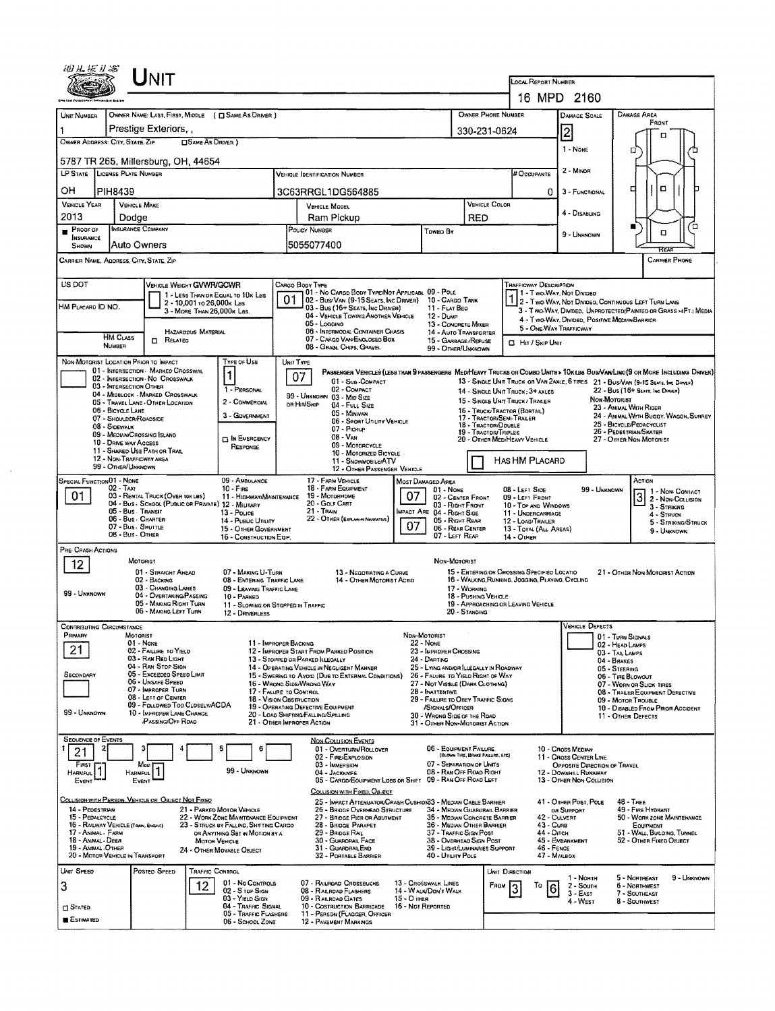|                                                                     |                                                                                                                                       | UNIT                                                                                                                                                                                                                                                                                  |                                                                                |                                                                                                                                                                            |    |                                                                                                                                                                                                                                                                                                                                                                                                                                       |                                  |                                                                                                                                                                                                                                                                                                                     |                                                       | LOCAL REPORT NUMBER                                                                                                                                                                |                                                                                                                                                            |                                                                                                                                                         |                                                                                                                                                                                                                                                                           |    |
|---------------------------------------------------------------------|---------------------------------------------------------------------------------------------------------------------------------------|---------------------------------------------------------------------------------------------------------------------------------------------------------------------------------------------------------------------------------------------------------------------------------------|--------------------------------------------------------------------------------|----------------------------------------------------------------------------------------------------------------------------------------------------------------------------|----|---------------------------------------------------------------------------------------------------------------------------------------------------------------------------------------------------------------------------------------------------------------------------------------------------------------------------------------------------------------------------------------------------------------------------------------|----------------------------------|---------------------------------------------------------------------------------------------------------------------------------------------------------------------------------------------------------------------------------------------------------------------------------------------------------------------|-------------------------------------------------------|------------------------------------------------------------------------------------------------------------------------------------------------------------------------------------|------------------------------------------------------------------------------------------------------------------------------------------------------------|---------------------------------------------------------------------------------------------------------------------------------------------------------|---------------------------------------------------------------------------------------------------------------------------------------------------------------------------------------------------------------------------------------------------------------------------|----|
|                                                                     |                                                                                                                                       |                                                                                                                                                                                                                                                                                       |                                                                                |                                                                                                                                                                            |    |                                                                                                                                                                                                                                                                                                                                                                                                                                       |                                  |                                                                                                                                                                                                                                                                                                                     |                                                       |                                                                                                                                                                                    | 16 MPD 2160                                                                                                                                                |                                                                                                                                                         |                                                                                                                                                                                                                                                                           |    |
| UNIT NUMBER                                                         |                                                                                                                                       | OWNER NAME: LAST, FIRST, MIDDLE ( C SAME AS DRIVER )                                                                                                                                                                                                                                  |                                                                                |                                                                                                                                                                            |    |                                                                                                                                                                                                                                                                                                                                                                                                                                       |                                  |                                                                                                                                                                                                                                                                                                                     | OWNER PHONE NUMBER                                    |                                                                                                                                                                                    | DAMAGE SCALE                                                                                                                                               |                                                                                                                                                         | DAMAGE AREA<br>FRONT                                                                                                                                                                                                                                                      |    |
| Prestige Exteriors                                                  |                                                                                                                                       |                                                                                                                                                                                                                                                                                       |                                                                                |                                                                                                                                                                            |    |                                                                                                                                                                                                                                                                                                                                                                                                                                       |                                  |                                                                                                                                                                                                                                                                                                                     | 330-231-0624                                          |                                                                                                                                                                                    | $\overline{c}$                                                                                                                                             |                                                                                                                                                         | o                                                                                                                                                                                                                                                                         |    |
|                                                                     | OWNER ADDRESS: CITY, STATE, ZIP                                                                                                       | 5787 TR 265, Millersburg, OH 44654                                                                                                                                                                                                                                                    | SAME AS DRIVER )                                                               |                                                                                                                                                                            |    |                                                                                                                                                                                                                                                                                                                                                                                                                                       |                                  |                                                                                                                                                                                                                                                                                                                     |                                                       |                                                                                                                                                                                    | 1 - None                                                                                                                                                   | ο                                                                                                                                                       |                                                                                                                                                                                                                                                                           |    |
|                                                                     | LP STATE LICENSE PLATE NUMBER                                                                                                         |                                                                                                                                                                                                                                                                                       |                                                                                |                                                                                                                                                                            |    | Vehicle Identification Number                                                                                                                                                                                                                                                                                                                                                                                                         |                                  |                                                                                                                                                                                                                                                                                                                     |                                                       | <b># Occupants</b>                                                                                                                                                                 | 2 - MINOR                                                                                                                                                  |                                                                                                                                                         |                                                                                                                                                                                                                                                                           |    |
| он                                                                  | <b>PIH8439</b>                                                                                                                        |                                                                                                                                                                                                                                                                                       |                                                                                |                                                                                                                                                                            |    | 3C63RRGL1DG564885                                                                                                                                                                                                                                                                                                                                                                                                                     |                                  |                                                                                                                                                                                                                                                                                                                     |                                                       | 0                                                                                                                                                                                  | 3 - FUNCTIONAL                                                                                                                                             | □                                                                                                                                                       | ۵                                                                                                                                                                                                                                                                         |    |
| <b>VEHICLE YEAR</b>                                                 |                                                                                                                                       | <b>VEHICLE MAKE</b>                                                                                                                                                                                                                                                                   |                                                                                |                                                                                                                                                                            |    | <b>VEHICLE MODEL</b>                                                                                                                                                                                                                                                                                                                                                                                                                  |                                  |                                                                                                                                                                                                                                                                                                                     | VEHICLE COLOR                                         |                                                                                                                                                                                    |                                                                                                                                                            |                                                                                                                                                         |                                                                                                                                                                                                                                                                           |    |
| 2013                                                                |                                                                                                                                       | Dodge                                                                                                                                                                                                                                                                                 |                                                                                |                                                                                                                                                                            |    | Ram Pickup                                                                                                                                                                                                                                                                                                                                                                                                                            |                                  |                                                                                                                                                                                                                                                                                                                     | RED                                                   |                                                                                                                                                                                    | 4 - DISABLING                                                                                                                                              |                                                                                                                                                         |                                                                                                                                                                                                                                                                           |    |
| PROOF OF<br>INSURANCE                                               |                                                                                                                                       | <b>INSURANCE COMPANY</b>                                                                                                                                                                                                                                                              |                                                                                |                                                                                                                                                                            |    | POLICY NUMBER                                                                                                                                                                                                                                                                                                                                                                                                                         |                                  | Towed By                                                                                                                                                                                                                                                                                                            |                                                       |                                                                                                                                                                                    | 9 - UNKNOWN                                                                                                                                                |                                                                                                                                                         | α                                                                                                                                                                                                                                                                         | ′□ |
| SHOWN                                                               |                                                                                                                                       | Auto Owners                                                                                                                                                                                                                                                                           |                                                                                |                                                                                                                                                                            |    | 5055077400                                                                                                                                                                                                                                                                                                                                                                                                                            |                                  |                                                                                                                                                                                                                                                                                                                     |                                                       |                                                                                                                                                                                    |                                                                                                                                                            |                                                                                                                                                         | RFA                                                                                                                                                                                                                                                                       |    |
|                                                                     |                                                                                                                                       | CARRIER NAME, ADDRESS, CITY, STATE, ZIP                                                                                                                                                                                                                                               |                                                                                |                                                                                                                                                                            |    |                                                                                                                                                                                                                                                                                                                                                                                                                                       |                                  |                                                                                                                                                                                                                                                                                                                     |                                                       |                                                                                                                                                                                    |                                                                                                                                                            |                                                                                                                                                         | CARRIER PHONE                                                                                                                                                                                                                                                             |    |
| US DOT<br>HM PLACARD ID NO.                                         |                                                                                                                                       | VEHICLE WEIGHT GVWR/GCWR                                                                                                                                                                                                                                                              | 2 - 10,001 το 26,000 K Les<br>3 - MORE THAN 26,000x Las.<br>HAZARODUS MATERIAL | 1 - LESS THAN OR EQUAL TO 10K LBS                                                                                                                                          | 01 | Cargo Body Type<br>01 - No CARGO BODY TYPE/NOT APPLICABL 09 - POLE<br>02 - Bus/Van (9-15 Seats, Inc Driver)<br>03 - Bus (16+ Seats, Inc Driver)<br>04 - VEHICLE TOWING ANOTHER VEHICLE<br>05 - Logging<br>06 - INTERMODAL CONTAINER CHASIS                                                                                                                                                                                            |                                  | 10 - Cargo Tank<br>11 - FLAT BED<br>12 - Dume<br>13 - CONCRETE MIXER<br>14 - AUTO TRANSPORTER                                                                                                                                                                                                                       |                                                       | TRAFFICWAY DESCRIPTION                                                                                                                                                             | 1 - Two-Way, Not Divided<br>2 - Two WAY, NOT DIVIDED, CONTINUOUS LEFT TURN LANE<br>4 - Two-Way, Divided, Positive Median Barrier<br>5 - ONE WAY TRAFFICWAY |                                                                                                                                                         | 3 - Two-WAY, Divideo, UNPROTECTED (PAINTED OR GRASS >4FT.) MEDIA                                                                                                                                                                                                          |    |
|                                                                     | HM CLASS<br><b>NUMBER</b>                                                                                                             | $\Box$ Related                                                                                                                                                                                                                                                                        |                                                                                |                                                                                                                                                                            |    | 07 - CARGO VAN ENCLOSED BOX<br>08 - GRAN, CHPS, GRAVEL                                                                                                                                                                                                                                                                                                                                                                                |                                  | 15 - GARBAGE /REFUSE<br>99 - OTHER/UNKNOWN                                                                                                                                                                                                                                                                          |                                                       | C Hr / SKIP UNIT                                                                                                                                                                   |                                                                                                                                                            |                                                                                                                                                         |                                                                                                                                                                                                                                                                           |    |
|                                                                     | 03 - INTERSECTION OTHER<br>06 - BICYCLE LANE<br>07 - SHOULDER/ROADSIDE<br>08 - Sidewalk<br>10 - DRNE WAY ACCESS<br>99 - OTHER/UNKNOWN | NON-MOTORIST LOCATION PRIOR TO IMPACT<br>01 - INTERSECTION - MARKED CROSSWAL<br>02 - INTERSECTION - NO CROSSWALK<br>04 - MIDBLOCK - MARKED CROSSWALK<br>05 - TRAVEL LANE - OTHER LOCATION<br>09 - MEDIAN/CROSSING ISLAND<br>11 - SHARED-USE PATH OR TRAIL<br>12 - NON-TRAFFICWAY AREA |                                                                                | Type or Use<br>1<br>1 - PERSONAL<br>2 - COMMERCIAL<br>3 - GOVERNMENT<br><b>EN EMERGENCY</b><br>RESPONSE                                                                    |    | UNIT TYPE<br>PASSENGER VEHICLES (LESS THAN 9 PASSENGERS MEDIMEAVY TRUCKS OR COMSO UNITS > 10KLES BUS/VAN/LIMO (9 OR MORE INCLUDING DRIVER)<br>07<br>01 - Sus -COMPACT<br>02 - COMPACT<br>99 - UNKNOWN 03 - MID SIZE<br>OR HIT/SKIP<br>$04 -$ Full $Size$<br>05 - MINIVAN<br>06 - SPORT UTILITY VEHICLE<br>07 - PICKUP<br>08 - VAN<br>09 - MOTORCYCLE<br>10 - MOTORIZED BICYCLE<br>11 - SNOWMOBILE/ATV<br>12 - OTHER PASSENGER VEHICLE |                                  |                                                                                                                                                                                                                                                                                                                     | 18 - TRACTOR/DOUBLE<br>19 - TRACTOR/TRIPLES           | 14 - SINGLE UNIT TRUCK: 3+ AXLES<br>15 - SINGLE UNIT TRUCK / TRAILER<br>16 - TRUCK/TRACTOR (BOBTAIL)<br>17 - TRACTOR/SEMI-TRALER<br>20 - OTHER MEDIHEAVY VEHICLE<br>HAS HM PLACARD |                                                                                                                                                            | Non-Motorist                                                                                                                                            | 13 - SINGLE UNIT TRUCK OR VAN 2AXLE, 6 TIRES 21 - BUS/VAN (9-15 SEATS, INC DAVER)<br>22 - BUS (16+ SEATS, INC DIRWER)<br>23 - Animal With Rider<br>24 - ANIMAL WITH BUGGY, WAGON, SURREY<br>25 - BICYCLE/PEDACYCLIST<br>26 - PEDESTRIAN/SKATER<br>27 - OTHER NON-MOTORIST |    |
| 01                                                                  | SPECIAL FUNCTION 01 - NONE<br>02 - TAXI                                                                                               | 03 - RENTAL TRUCK (OVER 10KLBS)<br>04 - Bus - SCHODL (PUBLIC OR PRIVATE) 12 - MILITARY<br>05 - Bus - Transit<br>06 - Bus - Charter<br>07 - Bus - SHUTTLE<br>08 - Bus - OTHER                                                                                                          |                                                                                | 09 - AMBULANCE<br>10 - FIRE<br>11 - HIGHWAY/MAINTENANCE<br>13 - Pouce<br>14 - Pusuc Unury<br>15 - OTHER GOVERNMENT<br>16 - CONSTRUCTION EQIP.                              |    | 17 - FARM VEHICLE<br>18 - FARM EQUIPMENT<br>19 - Мотокноме<br>20 - GOLF CART<br>21 - Train<br>22 - OTHER (EXPLAN IN NAVEATIVE)                                                                                                                                                                                                                                                                                                        | 07                               | Most Danaged Area<br>$01 - None$<br>02 - CENTER FRONT<br>03 - Right Front<br>IMPACT ARE 04 - RIGHT SIDE<br>05 - RIGHT REAR<br>06 - REAR CENTER<br>07 - LEFT REAR                                                                                                                                                    |                                                       | 08 - LEFT SIDE<br>09 - LEFT FRONT<br>10 - Top AND WINDOWS<br>11 - UNDERCARRIAGE<br>12 - LOAD/TRAILER<br>13 - TOTAL (ALL AREAS)<br>14 - OTHER                                       | 99 - UNKNOWN                                                                                                                                               |                                                                                                                                                         | ACTION<br>1 - Non CONTACT<br>$\boxed{3}$<br>2 - NDN-COLLISION<br>3 - STRIKING<br>$4 -$ STRUCK<br>5 - STRIKING/STRUCK<br>9 - Unknown                                                                                                                                       |    |
| PRE- CRASH ACTIONS<br>12<br>99 - UNKNOWN                            |                                                                                                                                       | MOTORIST<br>01 - STRAIGHT AHEAD<br>02 - BACKING<br>03 - CHANGING LANES<br>04 - OVERTAKING/PASSING<br>05 - MAKING RIGHT TURN<br>06 - MAKING LEFT TURN                                                                                                                                  |                                                                                | 07 - MAKING U-TURN<br>08 - ENTERING TRAFFIC LANE<br>09 - LEAVING TRAFFIC LANE<br>10 - PARKED<br>11 - SLOWING OR STOPPED IN TRAFFIC<br>12 - DRIVERLESS                      |    | 13 - NEGOTIATING A CURVE<br>14 - OTHER MOTORIST ACTIO                                                                                                                                                                                                                                                                                                                                                                                 |                                  | NON-MOTORIST                                                                                                                                                                                                                                                                                                        | 17 - WORKING<br>18 - PUSHING VEHICLE<br>20 - Standing | 15 - ENTERING OR CROSSING SPECIFIED LOCATIO<br>16 - WALKING, RUNNING, JOGGING, PLAYING, CYCLING<br>19 - APPROACHING OR LEAVING VEHICLE                                             |                                                                                                                                                            |                                                                                                                                                         | 21 - OTHER NON-MOTORIST ACTION                                                                                                                                                                                                                                            |    |
| PRIMARY                                                             | <b>CONTRIBUTING CIRCUMSTANCE</b>                                                                                                      | MOTORIST                                                                                                                                                                                                                                                                              |                                                                                |                                                                                                                                                                            |    |                                                                                                                                                                                                                                                                                                                                                                                                                                       | Non-Motorist                     |                                                                                                                                                                                                                                                                                                                     |                                                       |                                                                                                                                                                                    | <b>VEHICLE DEFECTS</b>                                                                                                                                     |                                                                                                                                                         |                                                                                                                                                                                                                                                                           |    |
| 21<br>SECONDARY<br>99 - UNKNOWN                                     |                                                                                                                                       | $01 - None$<br>02 - FAILURE TO YIELD<br>03 - RAN RED LIGHT<br>04 - RAN STOP SIGN<br>05 - Exceeded Speed Limit<br>06 - Unsafe Speed<br>07 - IMPROPER TURN<br>08 - LEFT OF CENTER<br>09 - FOLLOWED TOO CLOSELWACDA<br>10 - IMPROPER LANE CHANGE<br><b>PASSING/OFF ROAD</b>              |                                                                                | 11 - IMPROPER BACKING<br>17 - FALURE TO CONTROL<br>18 - Vision Obstruction                                                                                                 |    | 12 - IMPROPER START FROM PARKED POSITION<br>13 - STOPPED OR PARKED LLEGALLY<br>14 - OPERATING VEHICLE IN NEGLIGENT MANNER<br>15 - SWERING TO AVOID (DUE TO EXTERNAL CONDITIONS)<br>16 - WRONG SIDE/WRONG WAY<br>19 - OPERATING DEFECTIVE EQUIPMENT<br>20 - LOAD SHIFTING/FALLING/SPILLING<br>21 - OTHER IMPROPER ACTION                                                                                                               |                                  | 22 - None<br>23 - IMPROPER CROSSING<br>24 - DARTING<br>25 - LYING ANDIOR LLEGALLY IN ROADWAY<br>26 - FALURE TO YIELD RIGHT OF WAY<br>27 - NOT VISBLE (DARK CLOTHING)<br>28 - INATTENTIVE<br>29 - FAILURE TO OBEY TRAFFIC SIGNS<br>/SIGNALS/OFFICER<br>30 - WRONG SIDE OF THE ROAD<br>31 - OTHER NON-MOTORIST ACTION |                                                       |                                                                                                                                                                                    |                                                                                                                                                            | 01 - TURN SIGNALS<br>02 - HEAD LAMPS<br>03 - TAILLAMPS<br>04 - BRAKES<br>05 - STEERING<br>06 - TIRE BLOWOUT<br>09 - MOTOR TROUBLE<br>11 - OTHER DEFECTS | 07 - WORN OR SLICK TIRES<br>08 - TRAILER EQUIPMENT DEFECTIVE<br>10 - DISABLED FROM PRIOR ACCIDENT                                                                                                                                                                         |    |
| <b>SEQUENCE OF EVENTS</b><br>21<br>FIRST<br><b>HARMPUL</b><br>EVENT |                                                                                                                                       | Most<br>Harmful<br>EVENT                                                                                                                                                                                                                                                              |                                                                                | 99 - UNXNOWN                                                                                                                                                               |    | <b>NON-COLLISION EVENTS</b><br>01 - OVERTURN/ROLLOVER<br>02 - FIRE EXPLOSION<br>03 - IMMERSION<br>04 - JACKKMFE<br>05 - CARGO/EQUIPMENT LOSS OR SHIFT 09 - RAN OFF ROAD LEFT<br>COLLISION WITH FIXED, OBJECT                                                                                                                                                                                                                          |                                  | 06 - EQUIPMENT FAILURE<br>07 - SEPARATION OF UNITS<br>08 - RAN OFF ROAD RIGHT                                                                                                                                                                                                                                       | (BLOWN TIRE, BRAKE FAILURE, ETC)                      |                                                                                                                                                                                    | 10 - Cross Median<br>11 - CROSS CENTER LINE<br>OPPOSITE DIRECTION OF TRAVEL<br>12 - DOWNHILL RUNAWAY<br>13 - OTHER NON-COLLISION                           |                                                                                                                                                         |                                                                                                                                                                                                                                                                           |    |
| 14 - PEDESTRIAN<br>15 - PEDALCYCLE<br>18 - Anmal - Deer             | 16 - RAILWAY VEHICLE (TRAN, ENGINE)<br>17 - Animal - Farm<br>19 - Anthal OTHER<br>20 - MOTOR VEHICLE IN TRANSPORT                     | COLLISION WITH PERSON, VEHICLE OR OBJECT NOT FIXED                                                                                                                                                                                                                                    | <b>MOTOR VEHICLE</b>                                                           | 21 - PARKED MOTOR VEHICLE<br>22 - WORK ZONE MAINTENANCE EDUIPMENT<br>23 - STRUCK BY FALLING, SHIFTING CARGO<br>OR ANYTHING SET IN MOTION BY A<br>24 - OTHER MOVABLE OBJECT |    | 25 - IMPACT ATTENUATOR/CRASH CUSHION33 - MEDIAN CABLE BARRIER<br>26 - BRIDGE OVERHEAD STRUCTURE<br>27 - BRIDGE PIER OR ABUTMENT<br>28 - BRIDGE PARAPET<br>29 - BRIDGE RAIL<br>30 - GUARDRAIL FACE<br>31 - GUARDRAILEND<br>32 - PORTABLE BARRIER                                                                                                                                                                                       |                                  | 34 - MEDIAN GUARDRAIL BARRIER<br>35 - MEDIAN CONCRETE BARRIER<br>36 - MEDIAN OTHER BARRIER<br>37 - TRAFFIC SIGN POST<br>38 - Overhead Sign Post<br>39 - LIGHT/LUMINARIES SUPPORT<br>40 - UTILITY POLE                                                                                                               |                                                       | 43 - Cuna<br>44 - Dirch<br>46 - FENCE                                                                                                                                              | 41 - OTHER POST, POLE<br>OR SUPPORT<br>42 - CULVERT<br>45 - EMBANKMENT<br>47 - MAILBOX                                                                     | $48 - \text{There}$                                                                                                                                     | 49 - FIRE HYDRANT<br>50 - WORK ZONE MAINTENANCE<br>EQUIPMENT<br>51 - WALL, BULDING, TUNNEL<br>52 - OTHER FIXED OBJECT                                                                                                                                                     |    |
| UNIT SPEED<br>3<br>$\square$ Stated<br><b>ESTIMATED</b>             |                                                                                                                                       | POSTED SPEED                                                                                                                                                                                                                                                                          | TRAFFIC CONTROL<br>12                                                          | 01 - No CONTROLS<br>02 - S TOP SIGN<br>03 - YIELD SIGN<br>04 - Traffic Signal<br>05 - TRAFFIC FLASHERS<br>06 - SCHOOL ZONE                                                 |    | 07 - RAILROAD CROSSBUCKS<br>08 - RAILROAD FLASHERS<br>09 - RAILROAD GATES<br>10 - COSTRUCTION BARRICADE<br>11 - PERSON (FLAGGER, OFFICER<br>12 - PAVEMENT MARKINGS                                                                                                                                                                                                                                                                    | 15 - О тнея<br>16 - Not Reported | 13 - CROSSWALK LINES<br>14 - WALK/DON'T WALK                                                                                                                                                                                                                                                                        |                                                       | UNIT DIRECTION<br>$F$ ROM 3<br>То<br>6                                                                                                                                             | 1 - NORTH<br>2 - South<br>$3 - E$ AST<br>4 - WEST                                                                                                          |                                                                                                                                                         | 5 - NORTHEAST<br>9 - UNKNOWN<br>6 - NORTHWEST<br>7 - SOUTHEAST<br>8 - SOUTHWEST                                                                                                                                                                                           |    |

 $\mathcal{A}^{(1)}$